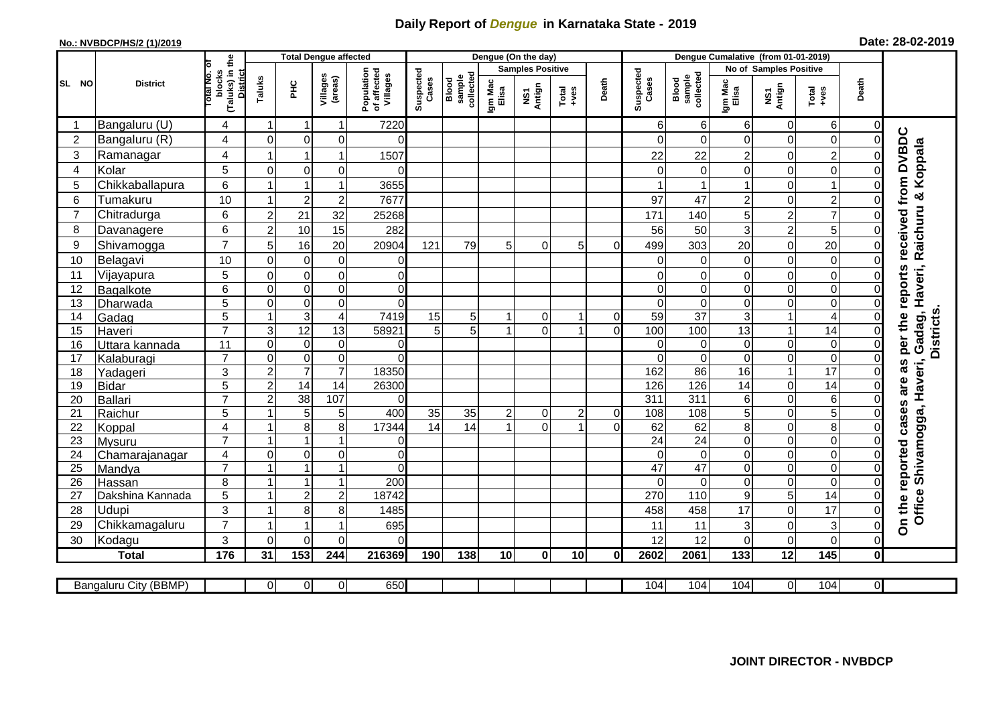## **Daily Report of** *Dengue* **in Karnataka State - 2019**

## **No.: NVBDCP/HS/2 (1)/2019**

| Date: 28-02-2019 |  |  |  |  |
|------------------|--|--|--|--|
|------------------|--|--|--|--|

|                |   |                       |                                                       | <b>Total Dengue affected</b> |                 |                         |                                       | Dengue (On the day) |                              |                  |                         |                                                              |                |                    |                              |                  |                         |                  |                |                                                   |
|----------------|---|-----------------------|-------------------------------------------------------|------------------------------|-----------------|-------------------------|---------------------------------------|---------------------|------------------------------|------------------|-------------------------|--------------------------------------------------------------|----------------|--------------------|------------------------------|------------------|-------------------------|------------------|----------------|---------------------------------------------------|
|                |   |                       |                                                       |                              |                 |                         |                                       |                     |                              |                  | <b>Samples Positive</b> |                                                              |                |                    |                              |                  | No of Samples Positive  |                  |                |                                                   |
| SL NO          |   | <b>District</b>       | (Taluks) in the<br>District<br>lotal No. of<br>blocks | Taluks                       | Ξ               | Villages<br>(areas)     | Population<br>of affected<br>Villages | Suspected<br>Cases  | collected<br>sample<br>Blood | Igm Mac<br>Elisa | NS1<br>Antign           | $\begin{array}{c}\n\text{Total} \\ \text{true}\n\end{array}$ | Death          | Suspected<br>Cases | Blood<br>sample<br>collected | Igm Mac<br>Elisa | NS1<br>Antign           | Total<br>$-1$    | Death          |                                                   |
| -1             |   | Bangaluru (U)         | 4                                                     |                              |                 | -1                      | 7220                                  |                     |                              |                  |                         |                                                              |                | 6                  | 6                            | 6                | 0                       | 6                | $\overline{0}$ |                                                   |
| $\overline{2}$ |   | Bangaluru (R)         | 4                                                     | $\mathbf 0$                  | $\mathbf 0$     | 0                       | $\Omega$                              |                     |                              |                  |                         |                                                              |                | $\Omega$           | $\mathbf 0$                  | $\overline{0}$   | $\mathbf 0$             | 0                | $\Omega$       |                                                   |
|                | 3 | Ramanagar             | 4                                                     |                              |                 | 1                       | 1507                                  |                     |                              |                  |                         |                                                              |                | 22                 | 22                           | $\overline{c}$   | $\boldsymbol{0}$        | $\overline{c}$   | $\mathbf 0$    |                                                   |
| $\overline{4}$ |   | Kolar                 | 5                                                     | $\mathbf 0$                  | $\mathbf 0$     | 0                       | 0                                     |                     |                              |                  |                         |                                                              |                | 0                  | $\overline{O}$               | $\overline{0}$   | $\mathbf 0$             | 0                | $\Omega$       | as per the reports received from DVBDC<br>Koppala |
|                | 5 | Chikkaballapura       | 6                                                     |                              |                 | 1                       | 3655                                  |                     |                              |                  |                         |                                                              |                |                    | $\mathbf{1}$                 | $\mathbf{1}$     | $\mathbf 0$             | 1                | $\Omega$       |                                                   |
|                | 6 | Tumakuru              | 10                                                    | -1                           | $\overline{2}$  | $\overline{c}$          | 7677                                  |                     |                              |                  |                         |                                                              |                | 97                 | 47                           | $\overline{a}$   | $\mathbf 0$             | $\overline{c}$   | $\Omega$       |                                                   |
| $\overline{7}$ |   | Chitradurga           | 6                                                     | $\overline{c}$               | 21              | 32                      | 25268                                 |                     |                              |                  |                         |                                                              |                | 171                | 140                          | 5                | $\overline{2}$          | $\overline{7}$   | $\Omega$       |                                                   |
| 8              |   | Davanagere            | 6                                                     | $\overline{2}$               | 10              | 15                      | 282                                   |                     |                              |                  |                         |                                                              |                | 56                 | 50                           | 3                | $\overline{c}$          | 5                | Οl             |                                                   |
| 9              |   | Shivamogga            | $\overline{7}$                                        | 5                            | 16              | 20                      | 20904                                 | 121                 | 79                           | 5 <sup>1</sup>   | $\Omega$                | 5 <sup>1</sup>                                               | $\Omega$       | 499                | 303                          | 20               | $\mathsf 0$             | 20               | $\overline{0}$ | Raichuru &                                        |
| 10             |   | Belagavi              | 10                                                    | $\mathbf 0$                  | $\mathbf 0$     | 0                       | $\overline{0}$                        |                     |                              |                  |                         |                                                              |                | 0                  | $\mathbf 0$                  | $\overline{0}$   | $\mathbf 0$             | $\mathbf 0$      | $\overline{0}$ |                                                   |
| 11             |   | Vijayapura            | 5                                                     | 0                            | $\mathbf 0$     | 0                       | $\overline{0}$                        |                     |                              |                  |                         |                                                              |                | 0                  | 0                            | $\overline{0}$   | 0                       | $\pmb{0}$        | $\overline{0}$ | Gadag, Haveri,                                    |
| 12             |   | Bagalkote             | 6                                                     | $\mathbf 0$                  | $\pmb{0}$       | $\mathbf 0$             | $\overline{0}$                        |                     |                              |                  |                         |                                                              |                | $\pmb{0}$          | $\mathsf{O}\xspace$          | $\overline{0}$   | $\mathsf 0$             | $\boldsymbol{0}$ | $\overline{0}$ |                                                   |
| 13             |   | Dharwada              | $\overline{5}$                                        | $\mathbf 0$                  | $\pmb{0}$       | $\mathbf 0$             | $\overline{0}$                        |                     |                              |                  |                         |                                                              |                | $\overline{0}$     | $\mathbf 0$                  | $\overline{0}$   | $\mathsf 0$             | $\mathbf 0$      | $\overline{0}$ |                                                   |
| 14             |   | Gadag                 | $\overline{5}$                                        |                              | $\overline{3}$  | $\overline{\mathbf{4}}$ | 7419                                  | 15                  | $\overline{5}$               |                  | $\overline{0}$          | 1                                                            | $\overline{0}$ | 59                 | $\overline{37}$              | $\overline{3}$   | $\overline{\mathbf{1}}$ | 4                | $\overline{0}$ |                                                   |
| 15             |   | Haveri                | $\overline{7}$                                        | 3                            | 12              | 13                      | 58921                                 | 5                   | 5                            | $\overline{ }$   | $\Omega$                | $\overline{1}$                                               | $\Omega$       | 100                | 100                          | $\overline{3}$   | $\overline{1}$          | 14               | $\overline{0}$ | <b>Districts</b>                                  |
| 16             |   | Uttara kannada        | 11                                                    | $\mathbf 0$                  | $\mathbf 0$     | 0                       | 0                                     |                     |                              |                  |                         |                                                              |                | 0                  | $\overline{O}$               | $\overline{0}$   | $\mathsf 0$             | $\mathbf 0$      | $\overline{0}$ |                                                   |
| 17             |   | Kalaburagi            | $\overline{7}$                                        | $\mathbf 0$                  | $\pmb{0}$       | $\mathbf 0$             | $\overline{0}$                        |                     |                              |                  |                         |                                                              |                | $\Omega$           | $\mathbf 0$                  | $\overline{0}$   | $\mathbf 0$             | $\mathbf 0$      | $\overline{0}$ |                                                   |
| 18             |   | Yadageri              | 3                                                     | $\overline{2}$               | $\overline{7}$  | $\overline{7}$          | 18350                                 |                     |                              |                  |                         |                                                              |                | 162                | 86                           | 16               | $\overline{1}$          | $\overline{17}$  | $\mathbf 0$    |                                                   |
| 19             |   | <b>Bidar</b>          | 5                                                     | $\overline{c}$               | 14              | 14                      | 26300                                 |                     |                              |                  |                         |                                                              |                | 126                | 126                          | 14               | 0                       | $\overline{14}$  | $\overline{0}$ | Haveri,<br>are                                    |
| 20             |   | <b>Ballari</b>        | $\overline{7}$                                        | $\overline{c}$               | $\overline{38}$ | 107                     | $\overline{0}$                        |                     |                              |                  |                         |                                                              |                | 311                | $\overline{311}$             | 6                | $\mathbf 0$             | $\,6\,$          | $\Omega$       |                                                   |
| 21             |   | Raichur               | $\overline{5}$                                        |                              | $\overline{5}$  | 5                       | 400                                   | 35                  | 35                           | $\mathbf{2}$     | $\overline{0}$          | $\overline{c}$                                               | $\Omega$       | 108                | 108                          | 5                | $\mathbf 0$             | $\overline{5}$   | $\Omega$       | cases                                             |
| 22             |   | Koppal                | $\overline{\mathbf{4}}$                               | $\overline{\mathbf{1}}$      | $\bf 8$         | 8                       | 17344                                 | 14                  | $\overline{14}$              |                  | $\overline{0}$          | $\overline{1}$                                               | $\Omega$       | 62                 | 62                           | œ                | $\pmb{0}$               | $\bf 8$          | $\mathbf 0$    |                                                   |
| 23             |   | Mysuru                | $\overline{7}$                                        | $\overline{1}$               | $\overline{1}$  | 1                       | $\overline{0}$                        |                     |                              |                  |                         |                                                              |                | $\overline{24}$    | 24                           | $\overline{0}$   | $\mathsf 0$             | $\boldsymbol{0}$ | $\overline{0}$ |                                                   |
| 24             |   | Chamarajanagar        | 4                                                     | $\mathbf 0$                  | $\mathbf 0$     | 0                       | $\mathbf 0$                           |                     |                              |                  |                         |                                                              |                | $\mathbf 0$        | $\overline{0}$               | $\overline{0}$   | 0                       | $\pmb{0}$        | $\overline{0}$ |                                                   |
| 25             |   | Mandya                | $\overline{7}$                                        |                              |                 | 1                       | $\Omega$                              |                     |                              |                  |                         |                                                              |                | $\overline{47}$    | 47                           | $\overline{0}$   | $\mathbf 0$             | 0                | $\overline{0}$ |                                                   |
| 26             |   | Hassan                | 8                                                     | $\overline{\mathbf{1}}$      | $\overline{1}$  | $\mathbf{1}$            | 200                                   |                     |                              |                  |                         |                                                              |                | $\Omega$           | $\mathbf 0$                  | $\overline{0}$   | $\boldsymbol{0}$        | 0                | $\overline{0}$ |                                                   |
| 27             |   | Dakshina Kannada      | 5                                                     | -1                           | $\overline{2}$  | $\mathbf 2$             | 18742                                 |                     |                              |                  |                         |                                                              |                | 270                | 110                          | 9                | 5                       | 14               | $\overline{0}$ |                                                   |
| 28             |   | Udupi                 | 3                                                     | -1                           | 8               | 8                       | 1485                                  |                     |                              |                  |                         |                                                              |                | 458                | 458                          | 17               | $\mathbf 0$             | 17               | $\Omega$       | Office Shivamogga,                                |
| 29             |   | Chikkamagaluru        | $\overline{7}$                                        |                              | -1              | 1                       | 695                                   |                     |                              |                  |                         |                                                              |                | 11                 | 11                           | 3                | $\mathbf 0$             | 3                | $\overline{0}$ | On the reported                                   |
| 30             |   | Kodagu                | 3                                                     | $\Omega$                     | $\mathbf 0$     | $\mathbf 0$             | $\mathbf 0$                           |                     |                              |                  |                         |                                                              |                | 12                 | 12                           | $\mathbf 0$      | $\mathbf 0$             | 0                | $\overline{O}$ |                                                   |
|                |   | <b>Total</b>          | 176                                                   | 31                           | 153             | 244                     | 216369                                | 190                 | 138                          | 10 <sup>1</sup>  | 0                       | 10                                                           | $\bf{0}$       | 2602               | 2061                         | 133              | 12                      | 145              | οl             |                                                   |
|                |   |                       |                                                       |                              |                 |                         |                                       |                     |                              |                  |                         |                                                              |                |                    |                              |                  |                         |                  |                |                                                   |
|                |   | Bangaluru City (BBMP) |                                                       | $\overline{0}$               | $\overline{0}$  | $\overline{0}$          | 650                                   |                     |                              |                  |                         |                                                              |                | 104                | 104                          | 104              | $\overline{0}$          | 104              | $\overline{0}$ |                                                   |